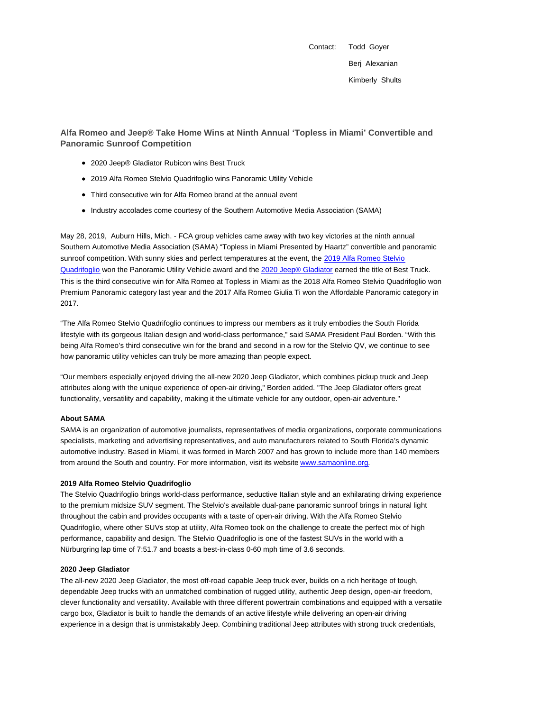Contact: Todd Goyer Berj Alexanian Kimberly Shults

**Alfa Romeo and Jeep® Take Home Wins at Ninth Annual 'Topless in Miami' Convertible and Panoramic Sunroof Competition**

- 2020 Jeep® Gladiator Rubicon wins Best Truck
- 2019 Alfa Romeo Stelvio Quadrifoglio wins Panoramic Utility Vehicle
- Third consecutive win for Alfa Romeo brand at the annual event
- Industry accolades come courtesy of the Southern Automotive Media Association (SAMA)

May 28, 2019, Auburn Hills, Mich. - FCA group vehicles came away with two key victories at the ninth annual Southern Automotive Media Association (SAMA) "Topless in Miami Presented by Haartz" convertible and panoramic sunroof competition. With sunny skies and perfect temperatures at the event, the 2019 Alfa Romeo Stelvio Quadrifoglio won the Panoramic Utility Vehicle award and the 2020 Jeep® Gladiator earned the title of Best Truck. This is the third consecutive win for Alfa Romeo at Topless in Miami as the 2018 Alfa Romeo Stelvio Quadrifoglio won Premium Panoramic category last year and the 2017 Alfa Romeo Giulia Ti won the Affordable Panoramic category in 2017.

"The Alfa Romeo Stelvio Quadrifoglio continues to impress our members as it truly embodies the South Florida lifestyle with its gorgeous Italian design and world-class performance," said SAMA President Paul Borden. "With this being Alfa Romeo's third consecutive win for the brand and second in a row for the Stelvio QV, we continue to see how panoramic utility vehicles can truly be more amazing than people expect.

"Our members especially enjoyed driving the all-new 2020 Jeep Gladiator, which combines pickup truck and Jeep attributes along with the unique experience of open-air driving," Borden added. "The Jeep Gladiator offers great functionality, versatility and capability, making it the ultimate vehicle for any outdoor, open-air adventure."

# **About SAMA**

SAMA is an organization of automotive journalists, representatives of media organizations, corporate communications specialists, marketing and advertising representatives, and auto manufacturers related to South Florida's dynamic automotive industry. Based in Miami, it was formed in March 2007 and has grown to include more than 140 members from around the South and country. For more information, visit its website www.samaonline.org.

# **2019 Alfa Romeo Stelvio Quadrifoglio**

The Stelvio Quadrifoglio brings world-class performance, seductive Italian style and an exhilarating driving experience to the premium midsize SUV segment. The Stelvio's available dual-pane panoramic sunroof brings in natural light throughout the cabin and provides occupants with a taste of open-air driving. With the Alfa Romeo Stelvio Quadrifoglio, where other SUVs stop at utility, Alfa Romeo took on the challenge to create the perfect mix of high performance, capability and design. The Stelvio Quadrifoglio is one of the fastest SUVs in the world with a Nürburgring lap time of 7:51.7 and boasts a best-in-class 0-60 mph time of 3.6 seconds.

#### **2020 Jeep Gladiator**

The all-new 2020 Jeep Gladiator, the most off-road capable Jeep truck ever, builds on a rich heritage of tough, dependable Jeep trucks with an unmatched combination of rugged utility, authentic Jeep design, open-air freedom, clever functionality and versatility. Available with three different powertrain combinations and equipped with a versatile cargo box, Gladiator is built to handle the demands of an active lifestyle while delivering an open-air driving experience in a design that is unmistakably Jeep. Combining traditional Jeep attributes with strong truck credentials,